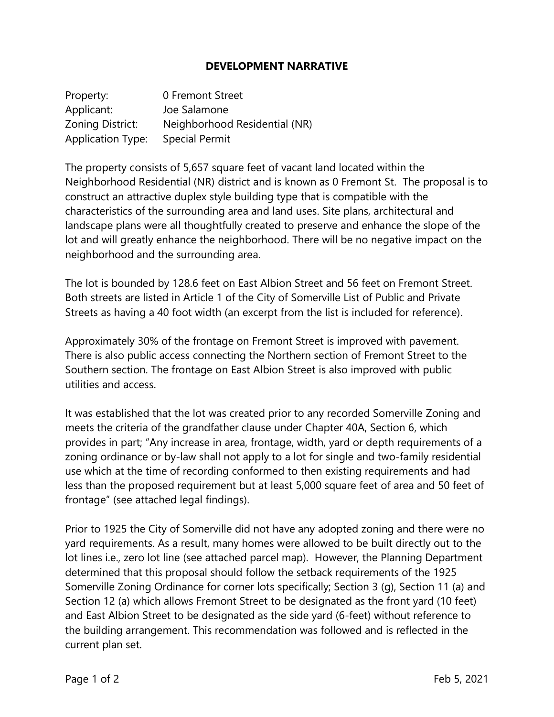## **DEVELOPMENT NARRATIVE**

| Property:                | 0 Fremont Street              |
|--------------------------|-------------------------------|
| Applicant:               | Joe Salamone                  |
| Zoning District:         | Neighborhood Residential (NR) |
| <b>Application Type:</b> | <b>Special Permit</b>         |

The property consists of 5,657 square feet of vacant land located within the Neighborhood Residential (NR) district and is known as 0 Fremont St. The proposal is to construct an attractive duplex style building type that is compatible with the characteristics of the surrounding area and land uses. Site plans, architectural and landscape plans were all thoughtfully created to preserve and enhance the slope of the lot and will greatly enhance the neighborhood. There will be no negative impact on the neighborhood and the surrounding area.

The lot is bounded by 128.6 feet on East Albion Street and 56 feet on Fremont Street. Both streets are listed in Article 1 of the City of Somerville List of Public and Private Streets as having a 40 foot width (an excerpt from the list is included for reference).

Approximately 30% of the frontage on Fremont Street is improved with pavement. There is also public access connecting the Northern section of Fremont Street to the Southern section. The frontage on East Albion Street is also improved with public utilities and access.

It was established that the lot was created prior to any recorded Somerville Zoning and meets the criteria of the grandfather clause under Chapter 40A, Section 6, which provides in part; "Any increase in area, frontage, width, yard or depth requirements of a zoning ordinance or by-law shall not apply to a lot for single and two-family residential use which at the time of recording conformed to then existing requirements and had less than the proposed requirement but at least 5,000 square feet of area and 50 feet of frontage" (see attached legal findings).

Prior to 1925 the City of Somerville did not have any adopted zoning and there were no yard requirements. As a result, many homes were allowed to be built directly out to the lot lines i.e., zero lot line (see attached parcel map). However, the Planning Department determined that this proposal should follow the setback requirements of the 1925 Somerville Zoning Ordinance for corner lots specifically; Section 3 (g), Section 11 (a) and Section 12 (a) which allows Fremont Street to be designated as the front yard (10 feet) and East Albion Street to be designated as the side yard (6-feet) without reference to the building arrangement. This recommendation was followed and is reflected in the current plan set.